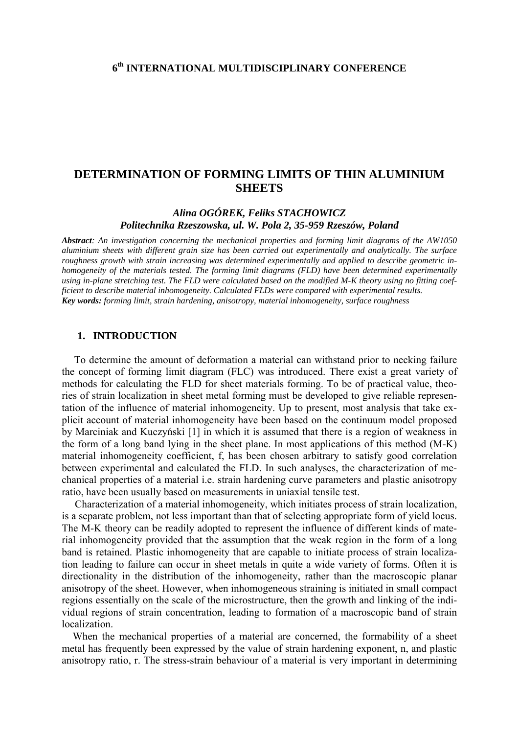# **DETERMINATION OF FORMING LIMITS OF THIN ALUMINIUM SHEETS**

# *Alina OGÓREK, Feliks STACHOWICZ Politechnika Rzeszowska, ul. W. Pola 2, 35-959 Rzeszów, Poland*

*Abstract: An investigation concerning the mechanical properties and forming limit diagrams of the AW1050 aluminium sheets with different grain size has been carried out experimentally and analytically. The surface roughness growth with strain increasing was determined experimentally and applied to describe geometric inhomogeneity of the materials tested. The forming limit diagrams (FLD) have been determined experimentally using in-plane stretching test. The FLD were calculated based on the modified M-K theory using no fitting coefficient to describe material inhomogeneity. Calculated FLDs were compared with experimental results. Key words: forming limit, strain hardening, anisotropy, material inhomogeneity, surface roughness* 

## **1. INTRODUCTION**

To determine the amount of deformation a material can withstand prior to necking failure the concept of forming limit diagram (FLC) was introduced. There exist a great variety of methods for calculating the FLD for sheet materials forming. To be of practical value, theories of strain localization in sheet metal forming must be developed to give reliable representation of the influence of material inhomogeneity. Up to present, most analysis that take explicit account of material inhomogeneity have been based on the continuum model proposed by Marciniak and Kuczyński [1] in which it is assumed that there is a region of weakness in the form of a long band lying in the sheet plane. In most applications of this method (M-K) material inhomogeneity coefficient, f, has been chosen arbitrary to satisfy good correlation between experimental and calculated the FLD. In such analyses, the characterization of mechanical properties of a material i.e. strain hardening curve parameters and plastic anisotropy ratio, have been usually based on measurements in uniaxial tensile test.

 Characterization of a material inhomogeneity, which initiates process of strain localization, is a separate problem, not less important than that of selecting appropriate form of yield locus. The M-K theory can be readily adopted to represent the influence of different kinds of material inhomogeneity provided that the assumption that the weak region in the form of a long band is retained. Plastic inhomogeneity that are capable to initiate process of strain localization leading to failure can occur in sheet metals in quite a wide variety of forms. Often it is directionality in the distribution of the inhomogeneity, rather than the macroscopic planar anisotropy of the sheet. However, when inhomogeneous straining is initiated in small compact regions essentially on the scale of the microstructure, then the growth and linking of the individual regions of strain concentration, leading to formation of a macroscopic band of strain localization.

 When the mechanical properties of a material are concerned, the formability of a sheet metal has frequently been expressed by the value of strain hardening exponent, n, and plastic anisotropy ratio, r. The stress-strain behaviour of a material is very important in determining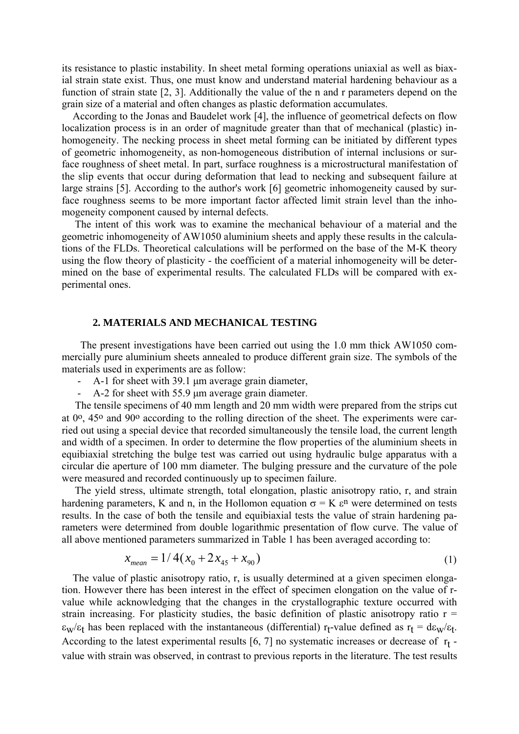its resistance to plastic instability. In sheet metal forming operations uniaxial as well as biaxial strain state exist. Thus, one must know and understand material hardening behaviour as a function of strain state [2, 3]. Additionally the value of the n and r parameters depend on the grain size of a material and often changes as plastic deformation accumulates.

 According to the Jonas and Baudelet work [4], the influence of geometrical defects on flow localization process is in an order of magnitude greater than that of mechanical (plastic) inhomogeneity. The necking process in sheet metal forming can be initiated by different types of geometric inhomogeneity, as non-homogeneous distribution of internal inclusions or surface roughness of sheet metal. In part, surface roughness is a microstructural manifestation of the slip events that occur during deformation that lead to necking and subsequent failure at large strains [5]. According to the author's work [6] geometric inhomogeneity caused by surface roughness seems to be more important factor affected limit strain level than the inhomogeneity component caused by internal defects.

 The intent of this work was to examine the mechanical behaviour of a material and the geometric inhomogeneity of AW1050 aluminium sheets and apply these results in the calculations of the FLDs. Theoretical calculations will be performed on the base of the M-K theory using the flow theory of plasticity - the coefficient of a material inhomogeneity will be determined on the base of experimental results. The calculated FLDs will be compared with experimental ones.

#### **2. MATERIALS AND MECHANICAL TESTING**

The present investigations have been carried out using the 1.0 mm thick AW1050 commercially pure aluminium sheets annealed to produce different grain size. The symbols of the materials used in experiments are as follow:

- A-1 for sheet with 39.1 μm average grain diameter,
- A-2 for sheet with 55.9 μm average grain diameter.

 The tensile specimens of 40 mm length and 20 mm width were prepared from the strips cut at 0o, 45o and 90o according to the rolling direction of the sheet. The experiments were carried out using a special device that recorded simultaneously the tensile load, the current length and width of a specimen. In order to determine the flow properties of the aluminium sheets in equibiaxial stretching the bulge test was carried out using hydraulic bulge apparatus with a circular die aperture of 100 mm diameter. The bulging pressure and the curvature of the pole were measured and recorded continuously up to specimen failure.

 The yield stress, ultimate strength, total elongation, plastic anisotropy ratio, r, and strain hardening parameters, K and n, in the Hollomon equation  $\sigma = K \varepsilon^n$  were determined on tests results. In the case of both the tensile and equibiaxial tests the value of strain hardening parameters were determined from double logarithmic presentation of flow curve. The value of all above mentioned parameters summarized in Table 1 has been averaged according to:

$$
x_{mean} = 1/4(x_0 + 2x_{45} + x_{90})
$$
\n(1)

 The value of plastic anisotropy ratio, r, is usually determined at a given specimen elongation. However there has been interest in the effect of specimen elongation on the value of rvalue while acknowledging that the changes in the crystallographic texture occurred with strain increasing. For plasticity studies, the basic definition of plastic anisotropy ratio  $r =$  $\epsilon_{w}/\epsilon_{t}$  has been replaced with the instantaneous (differential) r<sub>t</sub>-value defined as  $r_{t} = d\varepsilon_{w}/\epsilon_{t}$ . According to the latest experimental results  $[6, 7]$  no systematic increases or decrease of  $r_t$  value with strain was observed, in contrast to previous reports in the literature. The test results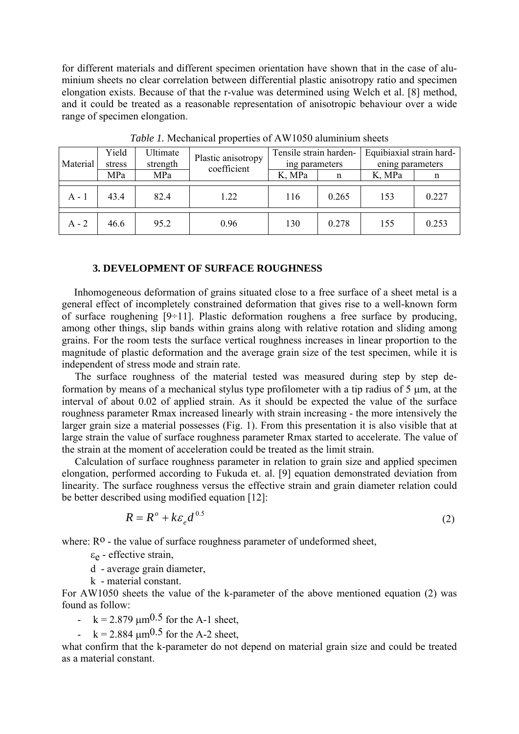for different materials and different specimen orientation have shown that in the case of aluminium sheets no clear correlation between differential plastic anisotropy ratio and specimen elongation exists. Because of that the r-value was determined using Welch et al. [8] method, and it could be treated as a reasonable representation of anisotropic behaviour over a wide range of specimen elongation.

| Material | Yield<br>stress | Ultimate<br>strength | Plastic anisotropy<br>coefficient | Tensile strain harden-<br>ing parameters |       | Equibiaxial strain hard-<br>ening parameters |         |
|----------|-----------------|----------------------|-----------------------------------|------------------------------------------|-------|----------------------------------------------|---------|
|          | MPa             | MPa                  |                                   | K, MPa                                   | n     | K, MPa                                       | n       |
|          |                 |                      |                                   |                                          |       |                                              |         |
| $A - 1$  | 434             | 82.4                 | 1.22                              | 116                                      | 0.265 | 153                                          | 0 2 2 7 |
|          |                 |                      |                                   |                                          |       |                                              |         |
| $A - 2$  | 46.6            | 95.2                 | 0.96                              | 130                                      | 0.278 | 155                                          | 0.253   |

*Table 1.* Mechanical properties of AW1050 aluminium sheets

#### **3. DEVELOPMENT OF SURFACE ROUGHNESS**

Inhomogeneous deformation of grains situated close to a free surface of a sheet metal is a general effect of incompletely constrained deformation that gives rise to a well-known form of surface roughening  $[9 \div 11]$ . Plastic deformation roughens a free surface by producing, among other things, slip bands within grains along with relative rotation and sliding among grains. For the room tests the surface vertical roughness increases in linear proportion to the magnitude of plastic deformation and the average grain size of the test specimen, while it is independent of stress mode and strain rate.

 The surface roughness of the material tested was measured during step by step deformation by means of a mechanical stylus type profilometer with a tip radius of 5 μm, at the interval of about 0.02 of applied strain. As it should be expected the value of the surface roughness parameter Rmax increased linearly with strain increasing - the more intensively the larger grain size a material possesses (Fig. 1). From this presentation it is also visible that at large strain the value of surface roughness parameter Rmax started to accelerate. The value of the strain at the moment of acceleration could be treated as the limit strain.

 Calculation of surface roughness parameter in relation to grain size and applied specimen elongation, performed according to Fukuda et. al. [9] equation demonstrated deviation from linearity. The surface roughness versus the effective strain and grain diameter relation could be better described using modified equation [12]:

$$
R = R^{\circ} + k \varepsilon_{e} d^{\,0.5} \tag{2}
$$

where:  $R^0$  - the value of surface roughness parameter of undeformed sheet,

 $\epsilon_{\rm e}$  - effective strain,

d - average grain diameter,

k - material constant.

For AW1050 sheets the value of the k-parameter of the above mentioned equation (2) was found as follow:

-  $k = 2.879 \text{ }\mu\text{m}^{0.5}$  for the A-1 sheet,

-  $k = 2.884 \text{ }\mu\text{m}^{0.5}$  for the A-2 sheet,

what confirm that the k-parameter do not depend on material grain size and could be treated as a material constant.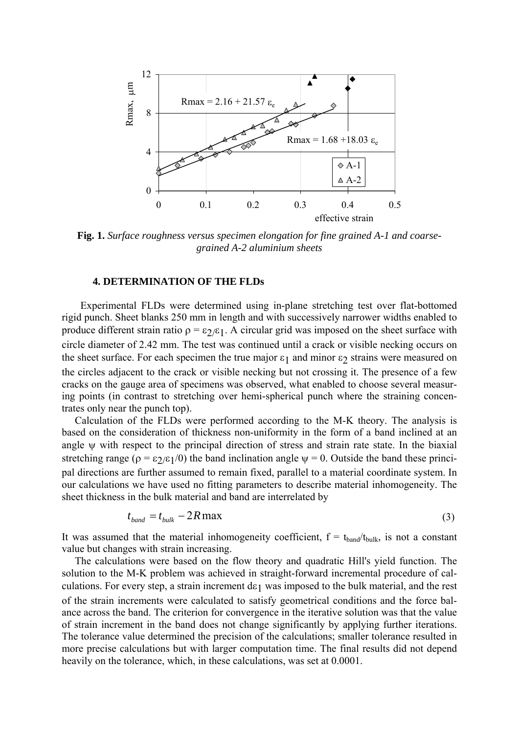

**Fig. 1.** *Surface roughness versus specimen elongation for fine grained A-1 and coarsegrained A-2 aluminium sheets*

#### **4. DETERMINATION OF THE FLDs**

Experimental FLDs were determined using in-plane stretching test over flat-bottomed rigid punch. Sheet blanks 250 mm in length and with successively narrower widths enabled to produce different strain ratio  $\rho = \varepsilon_2/\varepsilon_1$ . A circular grid was imposed on the sheet surface with circle diameter of 2.42 mm. The test was continued until a crack or visible necking occurs on the sheet surface. For each specimen the true major  $\varepsilon_1$  and minor  $\varepsilon_2$  strains were measured on the circles adjacent to the crack or visible necking but not crossing it. The presence of a few cracks on the gauge area of specimens was observed, what enabled to choose several measuring points (in contrast to stretching over hemi-spherical punch where the straining concentrates only near the punch top).

 Calculation of the FLDs were performed according to the M-K theory. The analysis is based on the consideration of thickness non-uniformity in the form of a band inclined at an angle  $\psi$  with respect to the principal direction of stress and strain rate state. In the biaxial stretching range ( $\rho = \varepsilon_2/\varepsilon_1/0$ ) the band inclination angle  $\psi = 0$ . Outside the band these principal directions are further assumed to remain fixed, parallel to a material coordinate system. In our calculations we have used no fitting parameters to describe material inhomogeneity. The sheet thickness in the bulk material and band are interrelated by

$$
t_{band} = t_{bulk} - 2R \max \tag{3}
$$

It was assumed that the material inhomogeneity coefficient,  $f = t_{band}/t_{bulk}$ , is not a constant value but changes with strain increasing.

 The calculations were based on the flow theory and quadratic Hill's yield function. The solution to the M-K problem was achieved in straight-forward incremental procedure of calculations. For every step, a strain increment d $\varepsilon_1$  was imposed to the bulk material, and the rest of the strain increments were calculated to satisfy geometrical conditions and the force balance across the band. The criterion for convergence in the iterative solution was that the value of strain increment in the band does not change significantly by applying further iterations. The tolerance value determined the precision of the calculations; smaller tolerance resulted in more precise calculations but with larger computation time. The final results did not depend heavily on the tolerance, which, in these calculations, was set at 0.0001.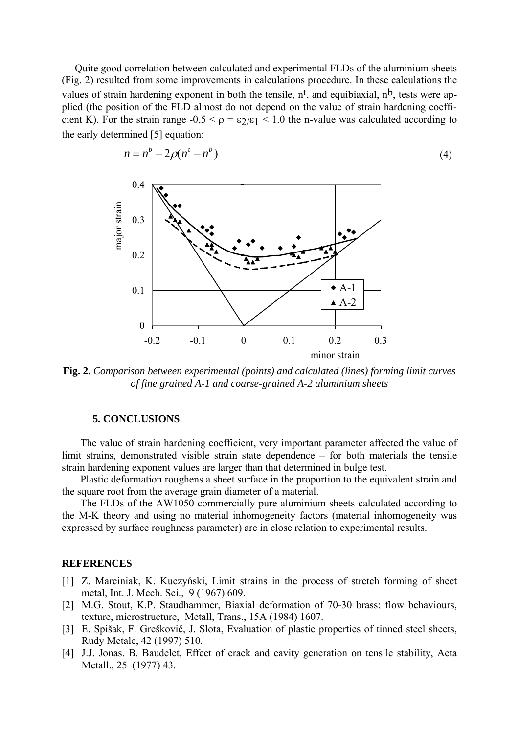Quite good correlation between calculated and experimental FLDs of the aluminium sheets (Fig. 2) resulted from some improvements in calculations procedure. In these calculations the values of strain hardening exponent in both the tensile,  $n^t$ , and equibiaxial,  $n^b$ , tests were applied (the position of the FLD almost do not depend on the value of strain hardening coefficient K). For the strain range  $-0.5 < \rho = \varepsilon_2/\varepsilon_1 < 1.0$  the n-value was calculated according to the early determined [5] equation:



$$
n = nb - 2\rho(nt - nb)
$$
 (4)

**Fig. 2.** *Comparison between experimental (points) and calculated (lines) forming limit curves of fine grained A-1 and coarse-grained A-2 aluminium sheets*

#### **5. CONCLUSIONS**

The value of strain hardening coefficient, very important parameter affected the value of limit strains, demonstrated visible strain state dependence – for both materials the tensile strain hardening exponent values are larger than that determined in bulge test.

Plastic deformation roughens a sheet surface in the proportion to the equivalent strain and the square root from the average grain diameter of a material.

The FLDs of the AW1050 commercially pure aluminium sheets calculated according to the M-K theory and using no material inhomogeneity factors (material inhomogeneity was expressed by surface roughness parameter) are in close relation to experimental results.

## **REFERENCES**

- [1] Z. Marciniak, K. Kuczyński, Limit strains in the process of stretch forming of sheet metal, Int. J. Mech. Sci., 9 (1967) 609.
- [2] M.G. Stout, K.P. Staudhammer, Biaxial deformation of 70-30 brass: flow behaviours, texture, microstructure, Metall, Trans., 15A (1984) 1607.
- [3] E. Spišak, F. Greškovič, J. Slota, Evaluation of plastic properties of tinned steel sheets, Rudy Metale, 42 (1997) 510.
- [4] J.J. Jonas. B. Baudelet, Effect of crack and cavity generation on tensile stability, Acta Metall., 25 (1977) 43.